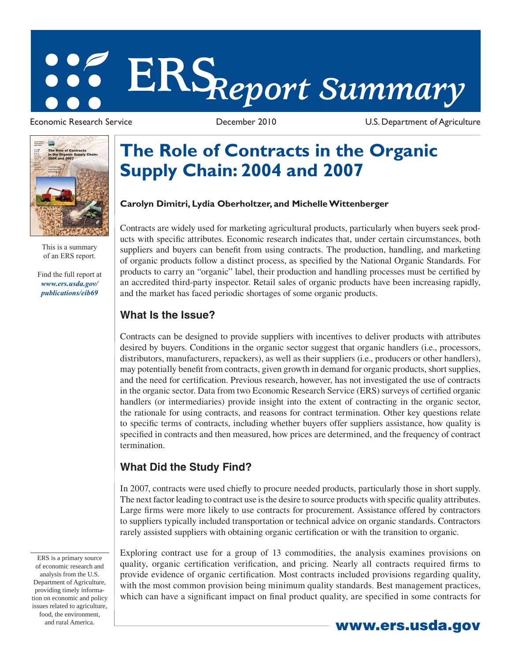# **ERS***Report Summary*

Economic Research Service December 2010 U.S. Department of Agriculture



This is a summary of an ERS report.

[Find the full report at](/publications/eib69/)  *www.ers.usda.gov/ publications/eib69*

## **The Role of Contracts in the Organic Supply Chain: 2004 and 2007**

#### **Carolyn Dimitri, Lydia Oberholtzer, and Michelle Wittenberger**

Contracts are widely used for marketing agricultural products, particularly when buyers seek products with specifi c attributes. Economic research indicates that, under certain circumstances, both suppliers and buyers can benefit from using contracts. The production, handling, and marketing of organic products follow a distinct process, as specified by the National Organic Standards. For products to carry an "organic" label, their production and handling processes must be certified by an accredited third-party inspector. Retail sales of organic products have been increasing rapidly, and the market has faced periodic shortages of some organic products.

#### **What Is the Issue?**

Contracts can be designed to provide suppliers with incentives to deliver products with attributes desired by buyers. Conditions in the organic sector suggest that organic handlers (i.e., processors, distributors, manufacturers, repackers), as well as their suppliers (i.e., producers or other handlers), may potentially benefit from contracts, given growth in demand for organic products, short supplies, and the need for certification. Previous research, however, has not investigated the use of contracts in the organic sector. Data from two Economic Research Service (ERS) surveys of certified organic handlers (or intermediaries) provide insight into the extent of contracting in the organic sector, the rationale for using contracts, and reasons for contract termination. Other key questions relate to specific terms of contracts, including whether buyers offer suppliers assistance, how quality is specified in contracts and then measured, how prices are determined, and the frequency of contract termination.

### **What Did the Study Find?**

In 2007, contracts were used chiefly to procure needed products, particularly those in short supply. The next factor leading to contract use is the desire to source products with specific quality attributes. Large firms were more likely to use contracts for procurement. Assistance offered by contractors to suppliers typically included transportation or technical advice on organic standards. Contractors rarely assisted suppliers with obtaining organic certification or with the transition to organic.

Exploring contract use for a group of 13 commodities, the analysis examines provisions on quality, organic certification verification, and pricing. Nearly all contracts required firms to provide evidence of organic certification. Most contracts included provisions regarding quality, with the most common provision being minimum quality standards. Best management practices, which can have a significant impact on final product quality, are specified in some contracts for

ERS is a primary source of economic research and analysis from the U.S. Department of Agriculture, providing timely information on economic and policy issues related to agriculture, food, the environment,

and rural America. **www.ers.usda.gov**